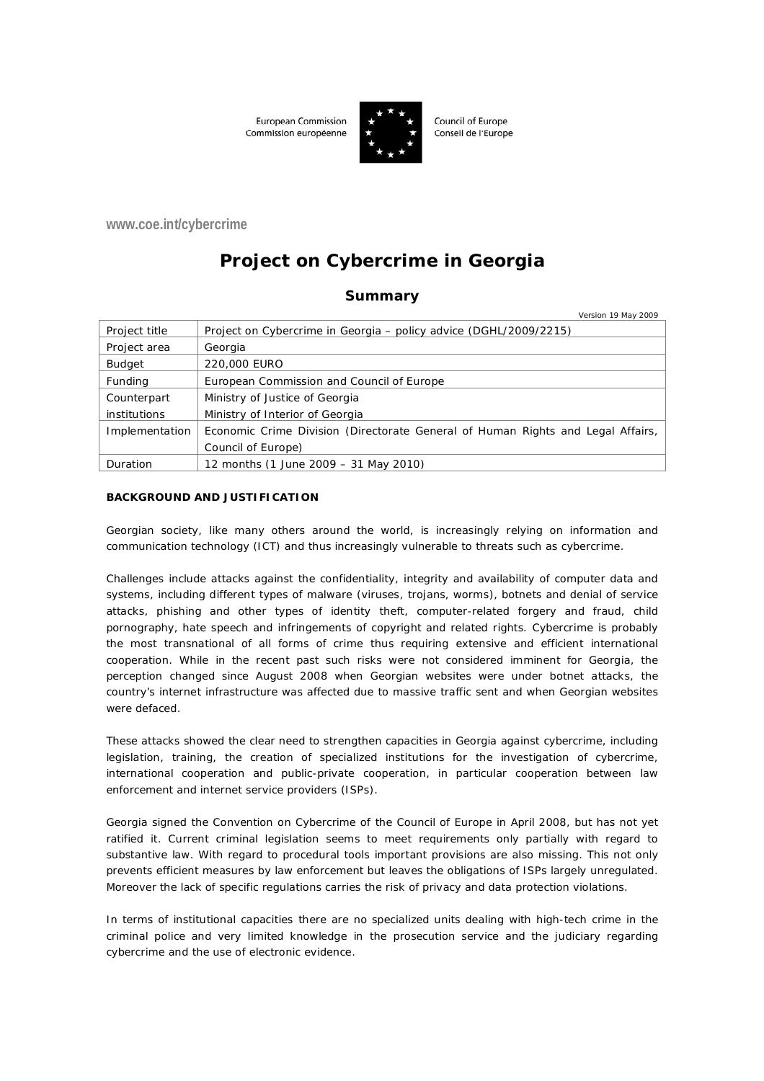European Commission Commission européenne



Council of Europe Conseil de l'Europe

**www.coe.int/cybercrime**

# **Project on Cybercrime in Georgia**

## **Summary**

| Version 19 May 2009                                                             |
|---------------------------------------------------------------------------------|
| Project on Cybercrime in Georgia – policy advice (DGHL/2009/2215)               |
| Georgia                                                                         |
| 220,000 EURO                                                                    |
| European Commission and Council of Europe                                       |
| Ministry of Justice of Georgia                                                  |
| Ministry of Interior of Georgia                                                 |
| Economic Crime Division (Directorate General of Human Rights and Legal Affairs, |
| Council of Europe)                                                              |
| 12 months (1 June 2009 – 31 May 2010)                                           |
|                                                                                 |

#### **BACKGROUND AND JUSTIFICATION**

Georgian society, like many others around the world, is increasingly relying on information and communication technology (ICT) and thus increasingly vulnerable to threats such as cybercrime.

Challenges include attacks against the confidentiality, integrity and availability of computer data and systems, including different types of malware (viruses, trojans, worms), botnets and denial of service attacks, phishing and other types of identity theft, computer-related forgery and fraud, child pornography, hate speech and infringements of copyright and related rights. Cybercrime is probably the most transnational of all forms of crime thus requiring extensive and efficient international cooperation. While in the recent past such risks were not considered imminent for Georgia, the perception changed since August 2008 when Georgian websites were under botnet attacks, the country's internet infrastructure was affected due to massive traffic sent and when Georgian websites were defaced.

These attacks showed the clear need to strengthen capacities in Georgia against cybercrime, including legislation, training, the creation of specialized institutions for the investigation of cybercrime, international cooperation and public-private cooperation, in particular cooperation between law enforcement and internet service providers (ISPs).

Georgia signed the Convention on Cybercrime of the Council of Europe in April 2008, but has not yet ratified it. Current criminal legislation seems to meet requirements only partially with regard to substantive law. With regard to procedural tools important provisions are also missing. This not only prevents efficient measures by law enforcement but leaves the obligations of ISPs largely unregulated. Moreover the lack of specific regulations carries the risk of privacy and data protection violations.

In terms of institutional capacities there are no specialized units dealing with high-tech crime in the criminal police and very limited knowledge in the prosecution service and the judiciary regarding cybercrime and the use of electronic evidence.